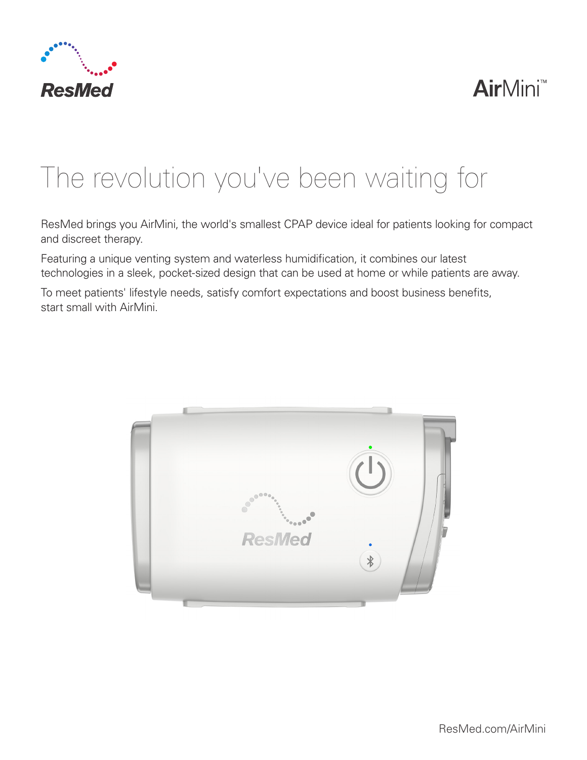

## **Air**Mini™

# The revolution you've been waiting for

ResMed brings you AirMini, the world's smallest CPAP device ideal for patients looking for compact and discreet therapy.

Featuring a unique venting system and waterless humidification, it combines our latest technologies in a sleek, pocket-sized design that can be used at home or while patients are away.

To meet patients' lifestyle needs, satisfy comfort expectations and boost business benefits, start small with AirMini.